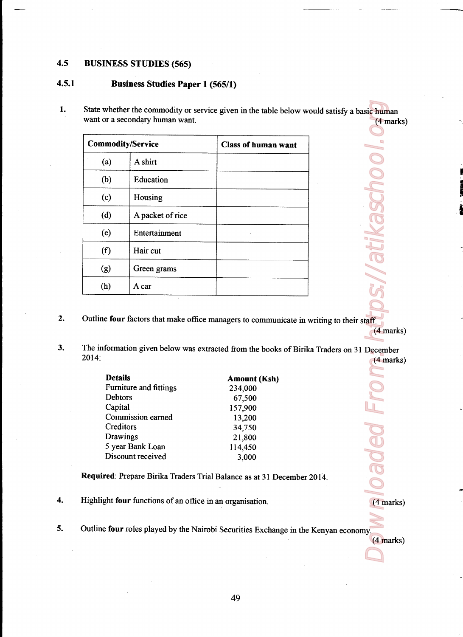## 4.5 BUSINESS STUDIES (565)

## 4.5.1 Business Studies Paper <sup>1</sup> (565/1)

1. State whether the commodity or service given in the table below would satisfy a basic human BUSINESS STUDIES (565)<br>Business Studies Paper 1 (565/1)<br>State whether the commodity or service given in the table below we<br>want or a secondary human want. want or a secondary human want. (4 marks) '

ID en's-1

(4 marks)

s://atikaschoo

(4 marks)

 $(4$  marks)

Poleo F

| $\alpha$                 |                                         |                                                                    |  |
|--------------------------|-----------------------------------------|--------------------------------------------------------------------|--|
|                          |                                         |                                                                    |  |
|                          |                                         |                                                                    |  |
|                          | <b>BUSINESS STUDIES (565)</b>           |                                                                    |  |
|                          | <b>Business Studies Paper 1 (565/1)</b> |                                                                    |  |
|                          |                                         | State whether the commodity or service given in the table below wo |  |
|                          | want or a secondary human want.         |                                                                    |  |
| <b>Commodity/Service</b> |                                         | <b>Class of human want</b>                                         |  |
| (a)                      | A shirt                                 |                                                                    |  |
| (b)                      | Education                               |                                                                    |  |
| (c)                      | Housing                                 |                                                                    |  |
| (d)                      | A packet of rice                        |                                                                    |  |
| (e)                      | Entertainment                           |                                                                    |  |
| (f)                      | Hair cut                                |                                                                    |  |
| (g)                      | Green grams                             |                                                                    |  |

- 2. Outline four factors that make office managers to communicate in writing to their staff.
- 3. The information given below was extracted from the books of Birika Traders on 31 December 2014: (4 marks) sic human<br>
(4 marks)<br>
December<br>
(4 marks)<br>
(4 marks)<br>
(4 marks)<br>
(4 marks)

| <b>Details</b>                | <b>Amount (Ksh)</b> |  |  |  |
|-------------------------------|---------------------|--|--|--|
| <b>Furniture and fittings</b> | 234,000             |  |  |  |
| Debtors                       | 67,500              |  |  |  |
| Capital                       | 157,900             |  |  |  |
| Commission earned             | 13,200              |  |  |  |
| Creditors                     | 34,750              |  |  |  |
| Drawings                      | 21,800              |  |  |  |
| 5 year Bank Loan              | 114,450             |  |  |  |
| Discount received             | 3,000               |  |  |  |

Required: Prepare Birika Traders Trial Balance as at 31 December 2014.

4i Highlight four functions of an office in an organisation.

**Contract Contract Contract Contract Contract** 

5. Outline four roles played by the Nairobi Securities Exchange in the Kenyan economy.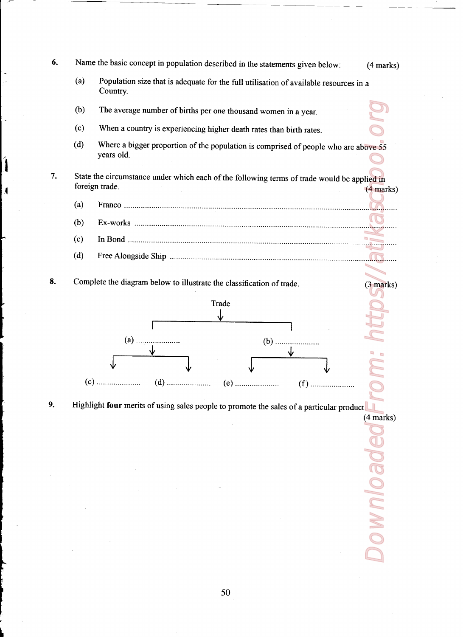The statements given below: (4 marks<br>tilisation of available resources in a<br>nd women in a year.<br>rates than birth rates.<br>is comprised of people who are above 55<br>powing terms of trade would be applied in<br>(4 marks)  $\blacksquare$   $\blacksquare$   $\blacksquare$   $\blacksquare$   $\blacksquare$   $\blacksquare$   $\blacksquare$   $\blacksquare$ <br>
Il utilisation of available resources in a<br>
usand women in a year.<br>
ath rates than birth rates.<br>
ath rates than birth rates.<br>
on is comprised of people who are abov 6. Name the basic concept in population described in the statements given below: (4 marks) (a) Population size that is adequate for the full utilisation of available resources in a Country The average number of bittis per one thousand women in a year.<br>
When a country is experiencing higher death rates than bitth rates.<br>
When a country is experiencing higher death rates than bitth rates.<br>
Where a bigger propo Downloaded From: https://atikasces.org (b) The average number of births per one thousand women in a year. (c) When a country is experiencing higher death rates than birth rates. (d) Where <sup>a</sup> bigger proportion of the population is comprised of people who are above <sup>55</sup> years old. 7. State the circumstance under which each of the following terms of trade would be applied in foreign trade. (4 marks) (a) Franco .......................................................... (b) Ex»works .......................................................................................................................... >~ (c) In Bond ............................................................................................................................... (d) Free Alongside Ship ............................... 8. Complete the diagram below to illustrate the classification of trade. (3 marks) 9. Highlight four merits of using sales people to promote the sales of a particular product. (4 marks) **ROION** 

L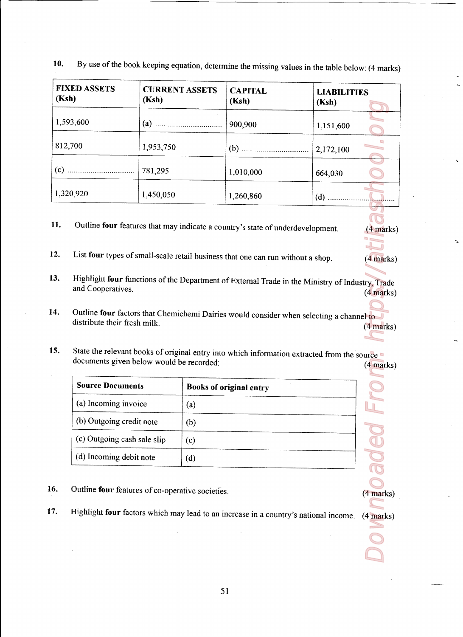| 10.                                                    | By use of the book keeping equation, determine the missing values in the table below: (4 marks)                                         |                                |                             |                          |
|--------------------------------------------------------|-----------------------------------------------------------------------------------------------------------------------------------------|--------------------------------|-----------------------------|--------------------------|
| <b>FIXED ASSETS</b><br>(Ksh)                           | <b>CURRENT ASSETS</b><br>(Ksh)                                                                                                          | <b>CAPITAL</b><br>(Ksh)        | <b>LIABILITIES</b><br>(Ksh) |                          |
| 1,593,600                                              |                                                                                                                                         | 900,900                        | 1,151,600                   |                          |
| 812,700                                                | 1,953,750<br>781,295                                                                                                                    | 1,010,000                      | 2,172,100                   |                          |
| 1,320,920                                              | 1,450,050                                                                                                                               | 1,260,860                      | 664,030<br>$(d)$            |                          |
| 11.                                                    | Outline four features that may indicate a country's state of underdevelopment.                                                          |                                |                             |                          |
| 12.                                                    | List four types of small-scale retail business that one can run without a shop.                                                         |                                |                             | $(4$ marks)<br>(4 marks) |
| 13.<br>and Cooperatives.                               | Highlight four functions of the Department of External Trade in the Ministry of Industry, Trade                                         |                                |                             | $(4$ marks)              |
| 14.<br>distribute their fresh milk.                    | Outline four factors that Chemichemi Dairies would consider when selecting a channel to                                                 |                                |                             | (4 marks)                |
| 15.                                                    | State the relevant books of original entry into which information extracted from the source<br>documents given below would be recorded: |                                |                             | $(4$ marks)              |
| <b>Source Documents</b>                                |                                                                                                                                         | <b>Books of original entry</b> |                             |                          |
| (a) Incoming invoice<br>(b) Outgoing credit note       | (a)<br>(b)                                                                                                                              |                                |                             |                          |
| (c) Outgoing cash sale slip<br>(d) Incoming debit note | (c)<br>(d)                                                                                                                              |                                |                             |                          |
| 6.                                                     | Outline four features of co-operative societies.                                                                                        |                                |                             | (4 marks)                |
| 7.                                                     | Highlight four factors which may lead to an increase in a country's national income.                                                    |                                |                             | $(4$ marks)              |

<u> 1989 - Johann Harry Harry Harry Harry Harry Harry Harry Harry Harry Harry Harry Harry Harry Harry Harry Harry</u>

- 14. Outline four factors that Chemichemi Dairies would consider when selecting a channel to distribute their fresh milk. (4 marks)
- 15. State the relevant books of original entry into which information extracted from the source documents given below would be recorded: (4 marks)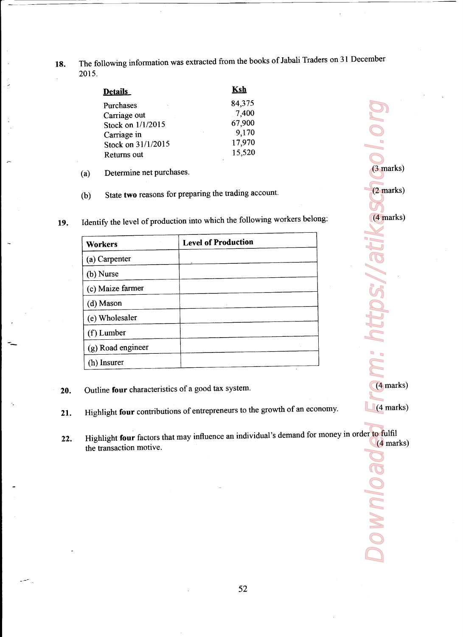18. The following information was extracted from the books of Jabali Traders on <sup>31</sup> December 2015.

<u>a sa sababang pangangang pangangang panganggang panganggang panganggang panganggang panganggang panganggang pa</u>

| 2015. |                                   | The following information was extracted from the books of Jabali Trad  |
|-------|-----------------------------------|------------------------------------------------------------------------|
|       | Details                           | <u>Ksh</u>                                                             |
|       | Purchases                         | 84,375                                                                 |
|       |                                   | 7,400                                                                  |
|       | Carriage out                      |                                                                        |
|       | Stock on 1/1/2015                 | 67,900                                                                 |
|       | Carriage in                       | 9,170<br>17,970                                                        |
|       | Stock on 31/1/2015<br>Returns out | 15,520                                                                 |
| (a)   | Determine net purchases.          |                                                                        |
| (b)   |                                   | State two reasons for preparing the trading account.                   |
|       |                                   | Identify the level of production into which the following workers belo |
|       | Workers                           | <b>Level of Production</b>                                             |
|       | (a) Carpenter                     |                                                                        |

- (a) Determine net purchases.
- (b) State two reasons for preparing the trading account.
- 19. Identify the level of production into which the following workers belong:

| 015.         |                                   | The following information was extracted from the books of Jabali Trade  |
|--------------|-----------------------------------|-------------------------------------------------------------------------|
|              |                                   | <u>Ksh</u>                                                              |
|              | Details                           | 84,375                                                                  |
|              | Purchases<br>Carriage out         | 7,400                                                                   |
|              | Stock on 1/1/2015                 | 67,900                                                                  |
|              | Carriage in<br>Stock on 31/1/2015 | 9,170<br>17,970                                                         |
|              | Returns out                       | 15,520                                                                  |
| $\mathbf{a}$ | Determine net purchases.          |                                                                         |
| $\mathbf{b}$ |                                   | State two reasons for preparing the trading account.                    |
|              |                                   |                                                                         |
|              |                                   |                                                                         |
|              |                                   | Identify the level of production into which the following workers belor |
|              | Workers                           | <b>Level of Production</b>                                              |
|              | (a) Carpenter                     |                                                                         |
|              | (b) Nurse                         |                                                                         |
|              | (c) Maize farmer                  |                                                                         |
|              | (d) Mason                         |                                                                         |
|              | (e) Wholesaler                    |                                                                         |
|              | (f) Lumber                        |                                                                         |
|              | (g) Road engineer                 |                                                                         |

20. Outline four characteristics of a good tax system.

- 21. Highlight four contributions of entrepreneurs to the growth of an economy.
- Highlight four factors that may influence an individual's demand for money in order to fulfil 22. (4 marks) the transaction motive

(3 marks)<br>
(3 marks)<br>
(4 marks)<br>
From: https://atikas.<br>
(4 marks)<br>
From: https://atikas.<br>
(4 marks)<br>
From: https://atikas. ttps://a (4 marks) (4 marks) **BOINNUOS** 

(3 marks)

(2 marks)

(4 marks)